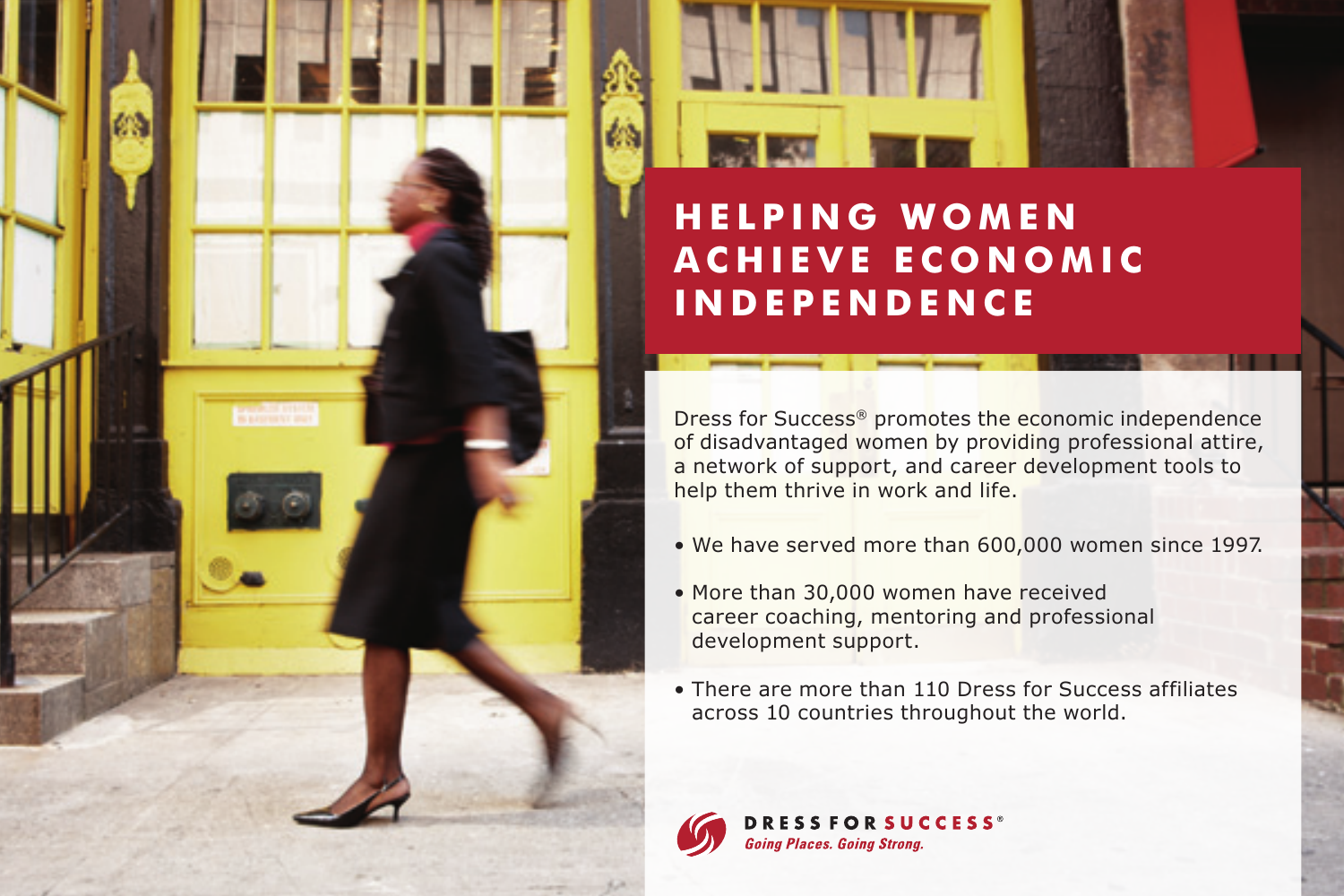

## **HELPING WOMEN ACHIEVE ECONOMIC INDEPENDENCE**

Dress for Success® promotes the economic independence of disadvantaged women by providing professional attire, a network of support, and career development tools to help them thrive in work and life.

- We have served more than 600,000 women since 1997.
- More than 30,000 women have received career coaching, mentoring and professional development support.
- There are more than 110 Dress for Success affiliates across 10 countries throughout the world.



**DRESSFORSUCCESS<sup>®</sup> Going Places, Going Strong.**